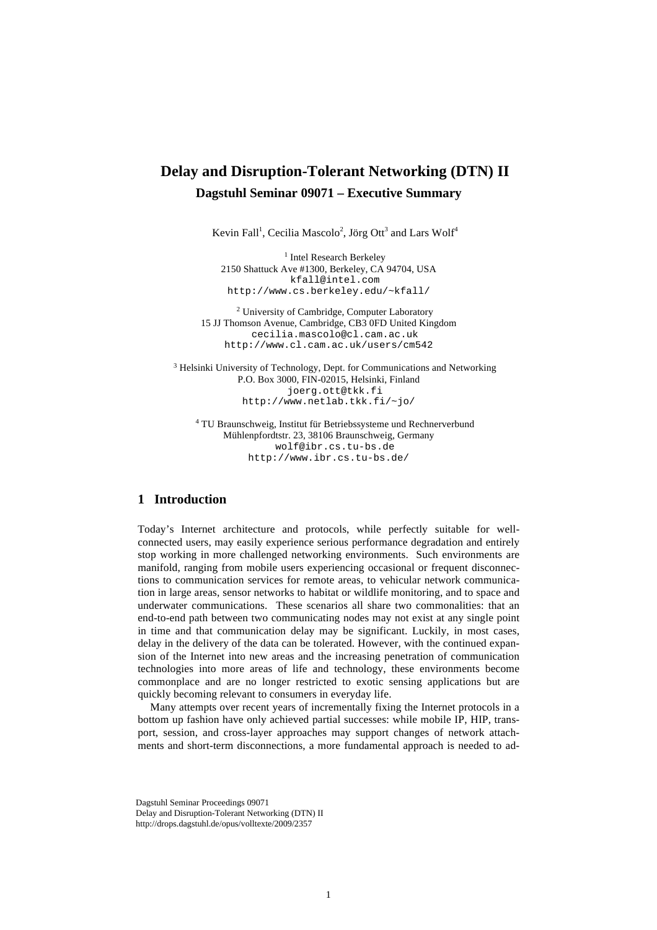## **Delay and Disruption-Tolerant Networking (DTN) II Dagstuhl Seminar 09071 – Executive Summary**

Kevin Fall<sup>1</sup>, Cecilia Mascolo<sup>2</sup>, Jörg Ott<sup>3</sup> and Lars Wolf<sup>4</sup>

<sup>1</sup> Intel Research Berkeley 2150 Shattuck Ave #1300, Berkeley, CA 94704, USA kfall@intel.com http://www.cs.berkeley.edu/~kfall/

<sup>2</sup> University of Cambridge, Computer Laboratory 15 JJ Thomson Avenue, Cambridge, CB3 0FD United Kingdom cecilia.mascolo@cl.cam.ac.uk http://www.cl.cam.ac.uk/users/cm542

<sup>3</sup> Helsinki University of Technology, Dept. for Communications and Networking P.O. Box 3000, FIN-02015, Helsinki, Finland joerg.ott@tkk.fi http://www.netlab.tkk.fi/~jo/

4 TU Braunschweig, Institut für Betriebssysteme und Rechnerverbund Mühlenpfordtstr. 23, 38106 Braunschweig, Germany wolf@ibr.cs.tu-bs.de http://www.ibr.cs.tu-bs.de/

## **1 Introduction**

Today's Internet architecture and protocols, while perfectly suitable for wellconnected users, may easily experience serious performance degradation and entirely stop working in more challenged networking environments. Such environments are manifold, ranging from mobile users experiencing occasional or frequent disconnections to communication services for remote areas, to vehicular network communication in large areas, sensor networks to habitat or wildlife monitoring, and to space and underwater communications. These scenarios all share two commonalities: that an end-to-end path between two communicating nodes may not exist at any single point in time and that communication delay may be significant. Luckily, in most cases, delay in the delivery of the data can be tolerated. However, with the continued expansion of the Internet into new areas and the increasing penetration of communication technologies into more areas of life and technology, these environments become commonplace and are no longer restricted to exotic sensing applications but are quickly becoming relevant to consumers in everyday life.

Many attempts over recent years of incrementally fixing the Internet protocols in a bottom up fashion have only achieved partial successes: while mobile IP, HIP, transport, session, and cross-layer approaches may support changes of network attachments and short-term disconnections, a more fundamental approach is needed to ad-

Dagstuhl Seminar Proceedings 09071

Delay and Disruption-Tolerant Networking (DTN) II http://drops.dagstuhl.de/opus/volltexte/2009/2357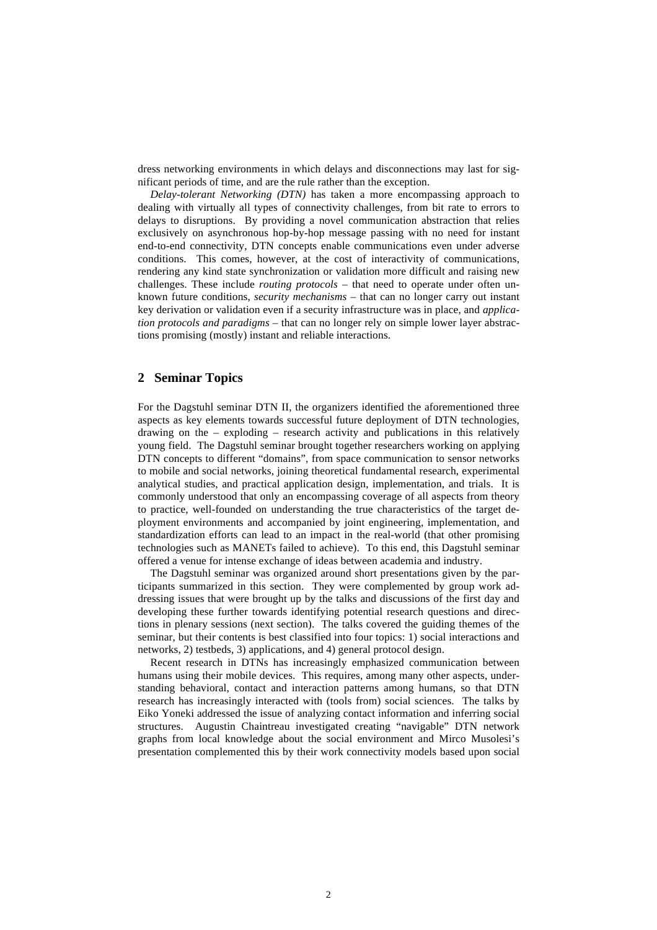dress networking environments in which delays and disconnections may last for significant periods of time, and are the rule rather than the exception.

*Delay-tolerant Networking (DTN)* has taken a more encompassing approach to dealing with virtually all types of connectivity challenges, from bit rate to errors to delays to disruptions. By providing a novel communication abstraction that relies exclusively on asynchronous hop-by-hop message passing with no need for instant end-to-end connectivity, DTN concepts enable communications even under adverse conditions. This comes, however, at the cost of interactivity of communications, rendering any kind state synchronization or validation more difficult and raising new challenges. These include *routing protocols* – that need to operate under often unknown future conditions, *security mechanisms* – that can no longer carry out instant key derivation or validation even if a security infrastructure was in place, and *application protocols and paradigms* – that can no longer rely on simple lower layer abstractions promising (mostly) instant and reliable interactions.

## **2 Seminar Topics**

For the Dagstuhl seminar DTN II, the organizers identified the aforementioned three aspects as key elements towards successful future deployment of DTN technologies, drawing on the – exploding – research activity and publications in this relatively young field. The Dagstuhl seminar brought together researchers working on applying DTN concepts to different "domains", from space communication to sensor networks to mobile and social networks, joining theoretical fundamental research, experimental analytical studies, and practical application design, implementation, and trials. It is commonly understood that only an encompassing coverage of all aspects from theory to practice, well-founded on understanding the true characteristics of the target deployment environments and accompanied by joint engineering, implementation, and standardization efforts can lead to an impact in the real-world (that other promising technologies such as MANETs failed to achieve). To this end, this Dagstuhl seminar offered a venue for intense exchange of ideas between academia and industry.

The Dagstuhl seminar was organized around short presentations given by the participants summarized in this section. They were complemented by group work addressing issues that were brought up by the talks and discussions of the first day and developing these further towards identifying potential research questions and directions in plenary sessions (next section). The talks covered the guiding themes of the seminar, but their contents is best classified into four topics: 1) social interactions and networks, 2) testbeds, 3) applications, and 4) general protocol design.

Recent research in DTNs has increasingly emphasized communication between humans using their mobile devices. This requires, among many other aspects, understanding behavioral, contact and interaction patterns among humans, so that DTN research has increasingly interacted with (tools from) social sciences. The talks by Eiko Yoneki addressed the issue of analyzing contact information and inferring social structures. Augustin Chaintreau investigated creating "navigable" DTN network graphs from local knowledge about the social environment and Mirco Musolesi's presentation complemented this by their work connectivity models based upon social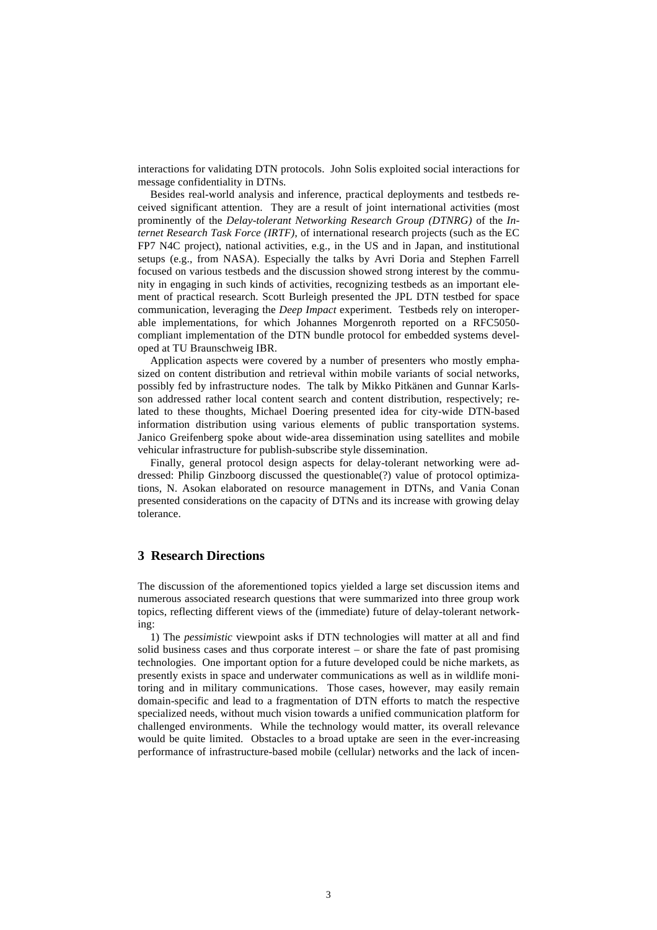interactions for validating DTN protocols. John Solis exploited social interactions for message confidentiality in DTNs.

Besides real-world analysis and inference, practical deployments and testbeds received significant attention. They are a result of joint international activities (most prominently of the *Delay-tolerant Networking Research Group (DTNRG)* of the *Internet Research Task Force (IRTF)*, of international research projects (such as the EC FP7 N4C project), national activities, e.g., in the US and in Japan, and institutional setups (e.g., from NASA). Especially the talks by Avri Doria and Stephen Farrell focused on various testbeds and the discussion showed strong interest by the community in engaging in such kinds of activities, recognizing testbeds as an important element of practical research. Scott Burleigh presented the JPL DTN testbed for space communication, leveraging the *Deep Impact* experiment. Testbeds rely on interoperable implementations, for which Johannes Morgenroth reported on a RFC5050 compliant implementation of the DTN bundle protocol for embedded systems developed at TU Braunschweig IBR.

Application aspects were covered by a number of presenters who mostly emphasized on content distribution and retrieval within mobile variants of social networks, possibly fed by infrastructure nodes. The talk by Mikko Pitkänen and Gunnar Karlsson addressed rather local content search and content distribution, respectively; related to these thoughts, Michael Doering presented idea for city-wide DTN-based information distribution using various elements of public transportation systems. Janico Greifenberg spoke about wide-area dissemination using satellites and mobile vehicular infrastructure for publish-subscribe style dissemination.

Finally, general protocol design aspects for delay-tolerant networking were addressed: Philip Ginzboorg discussed the questionable(?) value of protocol optimizations, N. Asokan elaborated on resource management in DTNs, and Vania Conan presented considerations on the capacity of DTNs and its increase with growing delay tolerance.

## **3 Research Directions**

The discussion of the aforementioned topics yielded a large set discussion items and numerous associated research questions that were summarized into three group work topics, reflecting different views of the (immediate) future of delay-tolerant networking:

1) The *pessimistic* viewpoint asks if DTN technologies will matter at all and find solid business cases and thus corporate interest – or share the fate of past promising technologies. One important option for a future developed could be niche markets, as presently exists in space and underwater communications as well as in wildlife monitoring and in military communications. Those cases, however, may easily remain domain-specific and lead to a fragmentation of DTN efforts to match the respective specialized needs, without much vision towards a unified communication platform for challenged environments. While the technology would matter, its overall relevance would be quite limited. Obstacles to a broad uptake are seen in the ever-increasing performance of infrastructure-based mobile (cellular) networks and the lack of incen-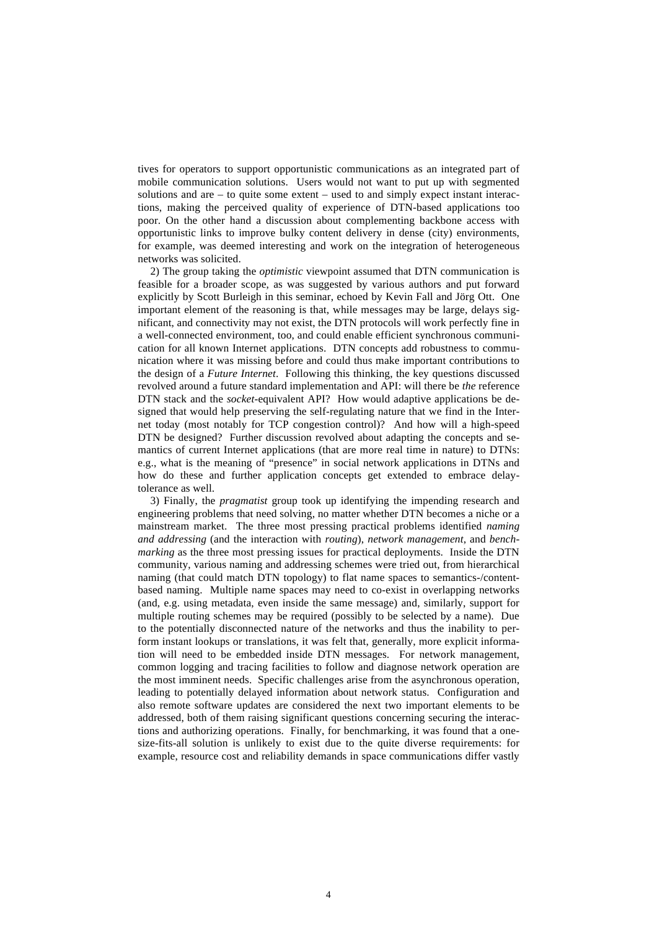tives for operators to support opportunistic communications as an integrated part of mobile communication solutions. Users would not want to put up with segmented solutions and are – to quite some extent – used to and simply expect instant interactions, making the perceived quality of experience of DTN-based applications too poor. On the other hand a discussion about complementing backbone access with opportunistic links to improve bulky content delivery in dense (city) environments, for example, was deemed interesting and work on the integration of heterogeneous networks was solicited.

2) The group taking the *optimistic* viewpoint assumed that DTN communication is feasible for a broader scope, as was suggested by various authors and put forward explicitly by Scott Burleigh in this seminar, echoed by Kevin Fall and Jörg Ott. One important element of the reasoning is that, while messages may be large, delays significant, and connectivity may not exist, the DTN protocols will work perfectly fine in a well-connected environment, too, and could enable efficient synchronous communication for all known Internet applications. DTN concepts add robustness to communication where it was missing before and could thus make important contributions to the design of a *Future Internet*. Following this thinking, the key questions discussed revolved around a future standard implementation and API: will there be *the* reference DTN stack and the *socket*-equivalent API? How would adaptive applications be designed that would help preserving the self-regulating nature that we find in the Internet today (most notably for TCP congestion control)? And how will a high-speed DTN be designed? Further discussion revolved about adapting the concepts and semantics of current Internet applications (that are more real time in nature) to DTNs: e.g., what is the meaning of "presence" in social network applications in DTNs and how do these and further application concepts get extended to embrace delaytolerance as well.

3) Finally, the *pragmatist* group took up identifying the impending research and engineering problems that need solving, no matter whether DTN becomes a niche or a mainstream market. The three most pressing practical problems identified *naming and addressing* (and the interaction with *routing*), *network management*, and *benchmarking* as the three most pressing issues for practical deployments. Inside the DTN community, various naming and addressing schemes were tried out, from hierarchical naming (that could match DTN topology) to flat name spaces to semantics-/contentbased naming. Multiple name spaces may need to co-exist in overlapping networks (and, e.g. using metadata, even inside the same message) and, similarly, support for multiple routing schemes may be required (possibly to be selected by a name). Due to the potentially disconnected nature of the networks and thus the inability to perform instant lookups or translations, it was felt that, generally, more explicit information will need to be embedded inside DTN messages. For network management, common logging and tracing facilities to follow and diagnose network operation are the most imminent needs. Specific challenges arise from the asynchronous operation, leading to potentially delayed information about network status. Configuration and also remote software updates are considered the next two important elements to be addressed, both of them raising significant questions concerning securing the interactions and authorizing operations. Finally, for benchmarking, it was found that a onesize-fits-all solution is unlikely to exist due to the quite diverse requirements: for example, resource cost and reliability demands in space communications differ vastly